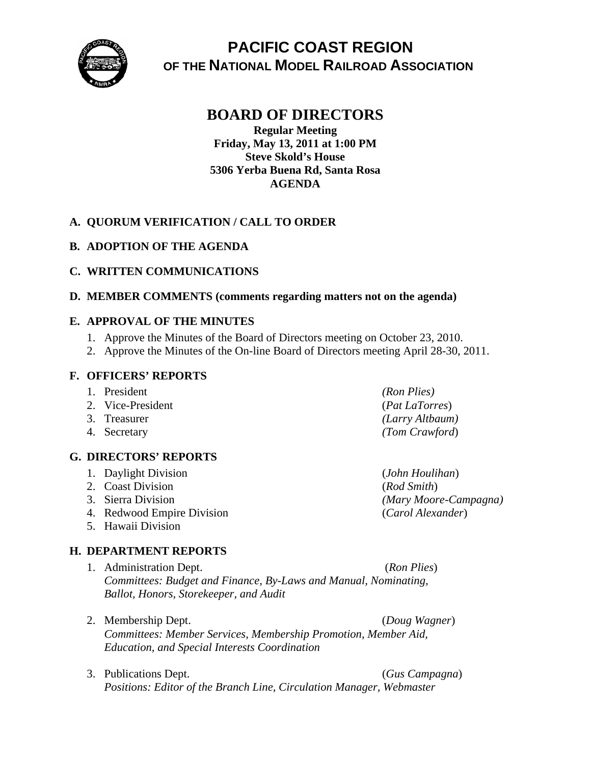

# **PACIFIC COAST REGION OF THE NATIONAL MODEL RAILROAD ASSOCIATION**

## **BOARD OF DIRECTORS**

**Regular Meeting Friday, May 13, 2011 at 1:00 PM Steve Skold's House 5306 Yerba Buena Rd, Santa Rosa AGENDA** 

## **A. QUORUM VERIFICATION / CALL TO ORDER**

## **B. ADOPTION OF THE AGENDA**

#### **C. WRITTEN COMMUNICATIONS**

#### **D. MEMBER COMMENTS (comments regarding matters not on the agenda)**

#### **E. APPROVAL OF THE MINUTES**

- 1. Approve the Minutes of the Board of Directors meeting on October 23, 2010.
- 2. Approve the Minutes of the On-line Board of Directors meeting April 28-30, 2011.

#### **F. OFFICERS' REPORTS**

- 1. President *(Ron Plies)*
- 2. Vice-President (*Pat LaTorres*)
- 
- 

## **G. DIRECTORS' REPORTS**

- 1. Daylight Division (*John Houlihan*)
- 2. Coast Division (*Rod Smith*)
- 
- 4. Redwood Empire Division (*Carol Alexander*)
- 5. Hawaii Division

#### **H. DEPARTMENT REPORTS**

- 1. Administration Dept. (*Ron Plies*) *Committees: Budget and Finance, By-Laws and Manual, Nominating, Ballot, Honors, Storekeeper, and Audit*
- 2. Membership Dept. (*Doug Wagner*) *Committees: Member Services, Membership Promotion, Member Aid, Education, and Special Interests Coordination*
- 3. Publications Dept. (*Gus Campagna*) *Positions: Editor of the Branch Line, Circulation Manager, Webmaster*

3. Treasurer *(Larry Altbaum)* 4. Secretary *(Tom Crawford*)

3. Sierra Division *(Mary Moore-Campagna)*